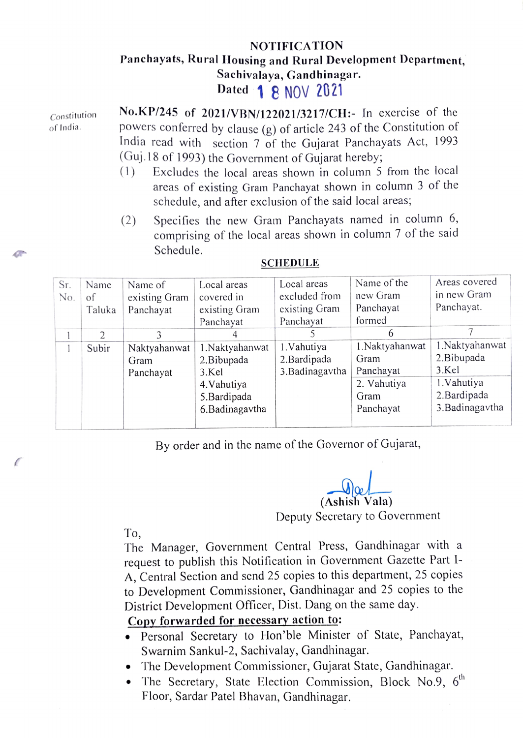## NOTIFICATION Panchayats, Rural Housing and Rural Development Department. Sachivalaya, Gandhinagar. Dated **1 8 NOV 2021**

Constitution of India.

No.KP/245 of 2021/VBN/122021/3217/CH: In exercise of the powers conferred by clause (g) of article 243 of the Constitution of India read with scction 7 of the Gujarat Panchayats Act, 1993 (Guj.18 of 1993) the Government of Gujarat hereby

- (1) Excludes the local arcas shown in column 5 from the local areas of existing Gram Panchayat shown in column 3 of the schedule, and after exclusion of the said local areas;
- $(2)$  Specifies the new Gram Panchayats named in column 6, comprising of the local areas shown in column 7 of the said Schedule.

| Sr. | Name           | Name of       | Local areas    | Local areas     | Name of the     | Areas covered   |
|-----|----------------|---------------|----------------|-----------------|-----------------|-----------------|
| No. | of             | existing Gram | covered in     | excluded from   | new Gram        | in new Gram     |
|     | Taluka         | Panchayat     | existing Gram  | existing Gram   | Panchayat       | Panchayat.      |
|     |                |               | Panchayat      | Panchayat       | formed          |                 |
|     | $\overline{2}$ |               |                |                 | 6               |                 |
|     | Subir          | Naktyahanwat  | 1.Naktyahanwat | 1. Vahutiya     | 1. Naktyahanwat | 1.Naktyahanwat  |
|     |                | Gram          | 2. Bibupada    | 2. Bardipada    | Gram            | 2. Bibupada     |
|     |                | Panchayat     | 3.Kel          | 3. Badinagavtha | Panchayat       | 3.Kel           |
|     |                |               | 4. Vahutiya    |                 | 2. Vahutiya     | 1. Vahutiya     |
|     |                |               | 5.Bardipada    |                 | Gram            | 2. Bardipada    |
|     |                |               | 6.Badinagavtha |                 | Panchayat       | 3. Badinagavtha |
|     |                |               |                |                 |                 |                 |

## **SCHEDULE**

By order and in the name of the Governor of Gujarat,

(Ashish Vala)

Deputy Secretary to Government

To,

The Manager, Government Central Press, Gandhinagar with a request to publish this Notification in Government Gazette Part I-A, Central Section and send 25 copies to this department, 25 copies to Development Commissioner, Gandhinagar and 25 copies to the District Development Officer, Dist. Dang on the same day.

## Copy forwarded for necessary action to:

- .Personal Secretary to Hon'ble Minister of State, Panchayat, Swarnim Sankul-2, Sachivalay, Gandhinagar.
- .The Development Commissioner, Gujarat State, Gandhinagar.
- The Secretary, State Election Commission, Block No.9,  $6<sup>th</sup>$ Floor, Sardar Patel Bhavan, Gandhinagar.